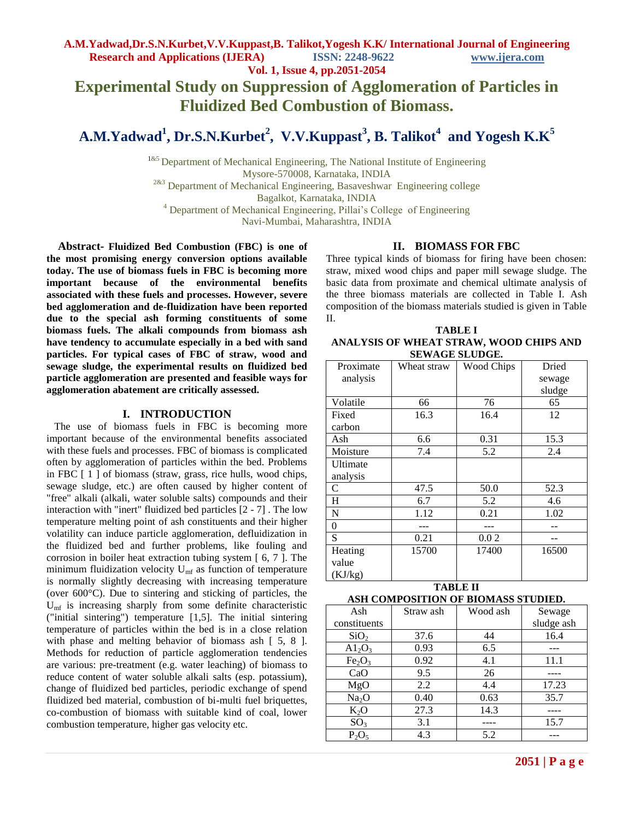**Vol. 1, Issue 4, pp.2051-2054**

# **Experimental Study on Suppression of Agglomeration of Particles in Fluidized Bed Combustion of Biomass.**

**A.M.Yadwad<sup>1</sup> , Dr.S.N.Kurbet<sup>2</sup> , V.V.Kuppast 3 , B. Talikot<sup>4</sup> and Yogesh K.K<sup>5</sup>**

<sup>1&5</sup> Department of Mechanical Engineering, The National Institute of Engineering Mysore-570008, Karnataka, INDIA

<sup>2&3</sup> Department of Mechanical Engineering, Basaveshwar Engineering college

Bagalkot, Karnataka, INDIA

<sup>4</sup> Department of Mechanical Engineering, Pillai's College of Engineering

Navi-Mumbai, Maharashtra, INDIA

 **Abstract- Fluidized Bed Combustion (FBC) is one of the most promising energy conversion options available today. The use of biomass fuels in FBC is becoming more important because of the environmental benefits associated with these fuels and processes. However, severe bed agglomeration and de-fluidization have been reported due to the special ash forming constituents of some biomass fuels. The alkali compounds from biomass ash have tendency to accumulate especially in a bed with sand particles. For typical cases of FBC of straw, wood and sewage sludge, the experimental results on fluidized bed particle agglomeration are presented and feasible ways for agglomeration abatement are critically assessed.**

#### **I. INTRODUCTION**

 The use of biomass fuels in FBC is becoming more important because of the environmental benefits associated with these fuels and processes. FBC of biomass is complicated often by agglomeration of particles within the bed. Problems in FBC [ 1 ] of biomass (straw, grass, rice hulls, wood chips, sewage sludge, etc.) are often caused by higher content of "free" alkali (alkali, water soluble salts) compounds and their interaction with "inert" fluidized bed particles [2 - 7] . The low temperature melting point of ash constituents and their higher volatility can induce particle agglomeration, defluidization in the fluidized bed and further problems, like fouling and corrosion in boiler heat extraction tubing system [ 6, 7 ]. The minimum fluidization velocity  $U_{\text{mf}}$  as function of temperature is normally slightly decreasing with increasing temperature (over 600°C). Due to sintering and sticking of particles, the  $U<sub>mf</sub>$  is increasing sharply from some definite characteristic ("initial sintering") temperature [1,5]. The initial sintering temperature of particles within the bed is in a close relation with phase and melting behavior of biomass ash [ 5, 8 ]. Methods for reduction of particle agglomeration tendencies are various: pre-treatment (e.g. water leaching) of biomass to reduce content of water soluble alkali salts (esp. potassium), change of fluidized bed particles, periodic exchange of spend fluidized bed material, combustion of bi-multi fuel briquettes, co-combustion of biomass with suitable kind of coal, lower combustion temperature, higher gas velocity etc.

#### **II. BIOMASS FOR FBC**

Three typical kinds of biomass for firing have been chosen: straw, mixed wood chips and paper mill sewage sludge. The basic data from proximate and chemical ultimate analysis of the three biomass materials are collected in Table I. Ash composition of the biomass materials studied is given in Table II.

| TABLE I                                 |
|-----------------------------------------|
| ANALYSIS OF WHEAT STRAW, WOOD CHIPS AND |
| <b>SEWAGE SLUDGE.</b>                   |

| Proximate      | Wheat straw | <b>Wood Chips</b> | Dried  |
|----------------|-------------|-------------------|--------|
| analysis       |             |                   | sewage |
|                |             |                   | sludge |
| Volatile       | 66          | 76                | 65     |
| Fixed          | 16.3        | 16.4              | 12     |
| carbon         |             |                   |        |
| Ash            | 6.6         | 0.31              | 15.3   |
| Moisture       | 7.4         | 5.2               | 2.4    |
| Ultimate       |             |                   |        |
| analysis       |             |                   |        |
| C              | 47.5        | 50.0              | 52.3   |
| H              | 6.7         | 5.2               | 4.6    |
| $\mathbf N$    | 1.12        | 0.21              | 1.02   |
| $\overline{0}$ |             |                   |        |
| S              | 0.21        | 0.02              |        |
| Heating        | 15700       | 17400             | 16500  |
| value          |             |                   |        |
| (KJ/kg)        |             |                   |        |

| <b>TABLE II</b>                     |  |  |  |
|-------------------------------------|--|--|--|
| ASH COMPOSITION OF BIOMASS STUDIED. |  |  |  |

| Ash                            | Straw ash | Wood ash | Sewage     |
|--------------------------------|-----------|----------|------------|
| constituents                   |           |          | sludge ash |
| SiO <sub>2</sub>               | 37.6      | 44       | 16.4       |
| $A1_2O_3$                      | 0.93      | 6.5      |            |
| Fe <sub>2</sub> O <sub>3</sub> | 0.92      | 4.1      | 11.1       |
| CaO                            | 9.5       | 26       |            |
| MgO                            | 2.2       | 4.4      | 17.23      |
| Na <sub>2</sub> O              | 0.40      | 0.63     | 35.7       |
| $K_2O$                         | 27.3      | 14.3     |            |
| SO <sub>3</sub>                | 3.1       |          | 15.7       |
| $P_2O_5$                       | 4.3       | 5.2      |            |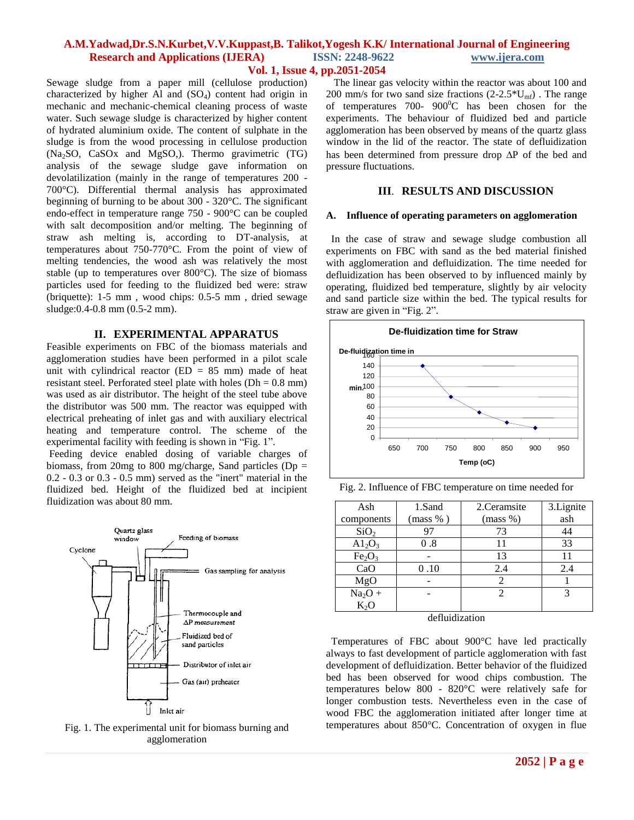# **A.M.Yadwad,Dr.S.N.Kurbet,V.V.Kuppast,B. Talikot,Yogesh K.K/ International Journal of Engineering Research and Applications (IJERA) ISSN: 2248-9622 www.ijera.com**

# **Vol. 1, Issue 4, pp.2051-2054**

Sewage sludge from a paper mill (cellulose production) characterized by higher Al and  $(SO<sub>4</sub>)$  content had origin in mechanic and mechanic-chemical cleaning process of waste water. Such sewage sludge is characterized by higher content of hydrated aluminium oxide. The content of sulphate in the sludge is from the wood processing in cellulose production (Na2SO, CaSOx and MgSO,). Thermo gravimetric (TG) analysis of the sewage sludge gave information on devolatilization (mainly in the range of temperatures 200 - 700°C). Differential thermal analysis has approximated beginning of burning to be about 300 - 320°C. The significant endo-effect in temperature range 750 - 900°C can be coupled with salt decomposition and/or melting. The beginning of straw ash melting is, according to DT-analysis, at temperatures about 750-770°C. From the point of view of melting tendencies, the wood ash was relatively the most stable (up to temperatures over 800°C). The size of biomass particles used for feeding to the fluidized bed were: straw (briquette): 1-5 mm , wood chips: 0.5-5 mm , dried sewage sludge:0.4-0.8 mm (0.5-2 mm).

#### **II. EXPERIMENTAL APPARATUS**

Feasible experiments on FBC of the biomass materials and agglomeration studies have been performed in a pilot scale unit with cylindrical reactor  $(ED = 85$  mm) made of heat resistant steel. Perforated steel plate with holes ( $Dh = 0.8$  mm) was used as air distributor. The height of the steel tube above the distributor was 500 mm. The reactor was equipped with electrical preheating of inlet gas and with auxiliary electrical heating and temperature control. The scheme of the experimental facility with feeding is shown in "Fig. 1".

Feeding device enabled dosing of variable charges of biomass, from 20mg to 800 mg/charge, Sand particles ( $Dp =$  $0.2 - 0.3$  or  $0.3 - 0.5$  mm) served as the "inert" material in the fluidized bed. Height of the fluidized bed at incipient fluidization was about 80 mm.



Fig. 1. The experimental unit for biomass burning and agglomeration

 The linear gas velocity within the reactor was about 100 and 200 mm/s for two sand size fractions  $(2-2.5*U_{\text{mf}})$ . The range of temperatures 700-  $900^{\circ}$ C has been chosen for the experiments. The behaviour of fluidized bed and particle agglomeration has been observed by means of the quartz glass window in the lid of the reactor. The state of defluidization has been determined from pressure drop  $\Delta P$  of the bed and pressure fluctuations.

#### **III**. **RESULTS AND DISCUSSION**

#### **A. Influence of operating parameters on agglomeration**

 In the case of straw and sewage sludge combustion all experiments on FBC with sand as the bed material finished with agglomeration and defluidization. The time needed for defluidization has been observed to by influenced mainly by operating, fluidized bed temperature, slightly by air velocity and sand particle size within the bed. The typical results for straw are given in "Fig. 2".



Fig. 2. Influence of FBC temperature on time needed for

| Ash                            | 1.Sand   | 2. Ceramsite | 3. Lignite |
|--------------------------------|----------|--------------|------------|
| components                     | (mass %) | (mass %)     | ash        |
| SiO <sub>2</sub>               | 97       | 73           | 44         |
| A1 <sub>2</sub> O <sub>3</sub> | 0.8      | 11           | 33         |
| Fe <sub>2</sub> O <sub>3</sub> |          | 13           | 11         |
| CaO                            | 0.10     | 2.4          | 2.4        |
| MgO                            |          |              |            |
| $Na2O +$                       |          | 2            | 3          |
| $K_2O$                         |          |              |            |
|                                | .        |              |            |

#### defluidization

 Temperatures of FBC about 900°C have led practically always to fast development of particle agglomeration with fast development of defluidization. Better behavior of the fluidized bed has been observed for wood chips combustion. The temperatures below 800 - 820°C were relatively safe for longer combustion tests. Nevertheless even in the case of wood FBC the agglomeration initiated after longer time at temperatures about 850°C. Concentration of oxygen in flue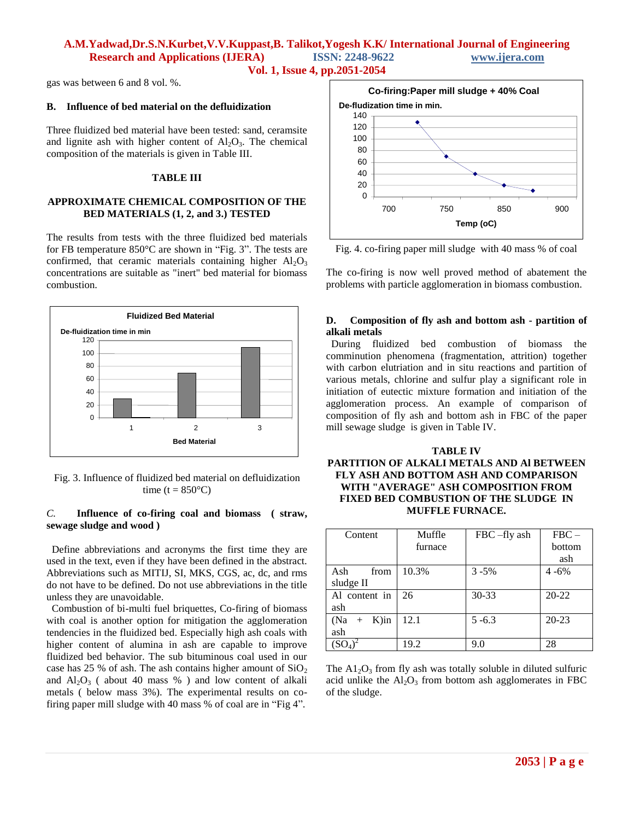# **A.M.Yadwad,Dr.S.N.Kurbet,V.V.Kuppast,B. Talikot,Yogesh K.K/ International Journal of Engineering Research and Applications (IJERA) ISSN: 2248-9622 www.ijera.com Vol. 1, Issue 4, pp.2051-2054**

gas was between 6 and 8 vol. %.

#### **B. Influence of bed material on the defluidization**

Three fluidized bed material have been tested: sand, ceramsite and lignite ash with higher content of  $Al_2O_3$ . The chemical composition of the materials is given in Table III.

## **TABLE III**

# **APPROXIMATE CHEMICAL COMPOSITION OF THE BED MATERIALS (1, 2, and 3.) TESTED**

The results from tests with the three fluidized bed materials for FB temperature 850°C are shown in "Fig. 3". The tests are confirmed, that ceramic materials containing higher  $Al_2O_3$ concentrations are suitable as "inert" bed material for biomass combustion.



Fig. 3. Influence of fluidized bed material on defluidization time ( $t = 850$ °C)

#### *C.* **Influence of co-firing coal and biomass ( straw, sewage sludge and wood )**

 Define abbreviations and acronyms the first time they are used in the text, even if they have been defined in the abstract. Abbreviations such as MITIJ, SI, MKS, CGS, ac, dc, and rms do not have to be defined. Do not use abbreviations in the title unless they are unavoidable.

 Combustion of bi-multi fuel briquettes, Co-firing of biomass with coal is another option for mitigation the agglomeration tendencies in the fluidized bed. Especially high ash coals with higher content of alumina in ash are capable to improve fluidized bed behavior. The sub bituminous coal used in our case has 25 % of ash. The ash contains higher amount of  $SiO<sub>2</sub>$ and  $Al_2O_3$  (about 40 mass %) and low content of alkali metals ( below mass 3%). The experimental results on cofiring paper mill sludge with 40 mass % of coal are in "Fig 4".



Fig. 4. co-firing paper mill sludge with 40 mass % of coal

The co-firing is now well proved method of abatement the problems with particle agglomeration in biomass combustion.

## **D. Composition of fly ash and bottom ash - partition of alkali metals**

 During fluidized bed combustion of biomass the comminution phenomena (fragmentation, attrition) together with carbon elutriation and in situ reactions and partition of various metals, chlorine and sulfur play a significant role in initiation of eutectic mixture formation and initiation of the agglomeration process. An example of comparison of composition of fly ash and bottom ash in FBC of the paper mill sewage sludge is given in Table IV.

### **TABLE IV PARTITION OF ALKALI METALS AND Al BETWEEN FLY ASH AND BOTTOM ASH AND COMPARISON WITH "AVERAGE" ASH COMPOSITION FROM FIXED BED COMBUSTION OF THE SLUDGE IN MUFFLE FURNACE.**

| Content                  | Muffle  | FBC-fly ash | $FBC -$   |
|--------------------------|---------|-------------|-----------|
|                          | furnace |             | bottom    |
|                          |         |             | ash       |
| Ash<br>from              | 10.3%   | $3 - 5\%$   | $4 - 6\%$ |
| sludge II                |         |             |           |
| Al content in            | 26      | $30 - 33$   | $20 - 22$ |
| ash                      |         |             |           |
| $K$ )in<br>(Na<br>$^{+}$ | 12.1    | $5 - 6.3$   | $20 - 23$ |
| ash                      |         |             |           |
|                          | 19.2    | 9.0         | 28        |

The  $A1_2O_3$  from fly ash was totally soluble in diluted sulfuric acid unlike the  $Al_2O_3$  from bottom ash agglomerates in FBC of the sludge.